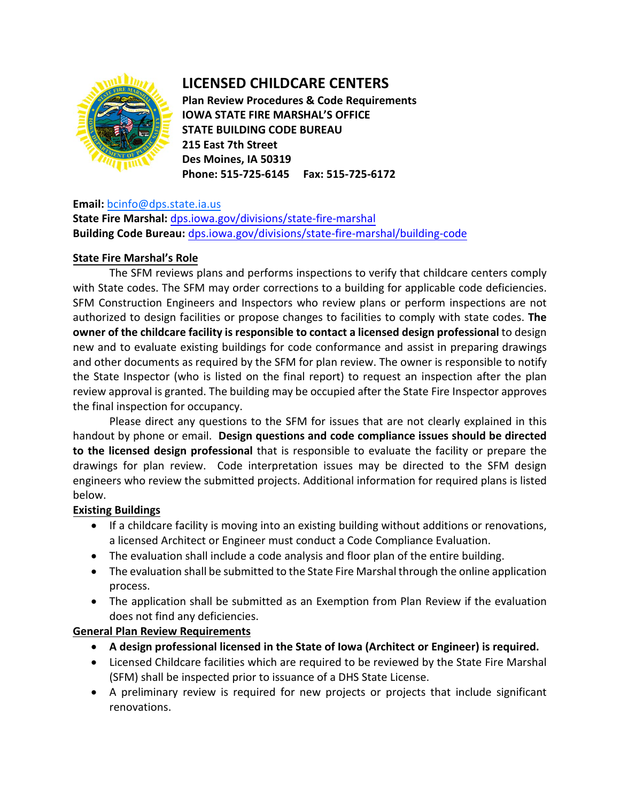

# **LICENSED CHILDCARE CENTERS**

**Plan Review Procedures & Code Requirements IOWA STATE FIRE MARSHAL'S OFFICE STATE BUILDING CODE BUREAU 215 East 7th Street Des Moines, IA 50319 Phone: 515-725-6145 Fax: 515-725-6172** 

### **Email:** [bcinfo@dps.state.ia.us](mailto:bcinfo@dps.state.ia.us)

**State Fire Marshal:** [dps.iowa.gov/divisions/state-fire-marshal](https://dps.iowa.gov/divisions/state-fire-marshal) **Building Code Bureau:** [dps.iowa.gov/divisions/state-fire-marshal/building-code](https://dps.iowa.gov/divisions/state-fire-marshal/building-code) 

## **State Fire Marshal's Role**

The SFM reviews plans and performs inspections to verify that childcare centers comply with State codes. The SFM may order corrections to a building for applicable code deficiencies. SFM Construction Engineers and Inspectors who review plans or perform inspections are not authorized to design facilities or propose changes to facilities to comply with state codes. **The owner of the childcare facility is responsible to contact a licensed design professional** to design new and to evaluate existing buildings for code conformance and assist in preparing drawings and other documents as required by the SFM for plan review. The owner is responsible to notify the State Inspector (who is listed on the final report) to request an inspection after the plan review approval is granted. The building may be occupied after the State Fire Inspector approves the final inspection for occupancy.

Please direct any questions to the SFM for issues that are not clearly explained in this handout by phone or email. **Design questions and code compliance issues should be directed to the licensed design professional** that is responsible to evaluate the facility or prepare the drawings for plan review. Code interpretation issues may be directed to the SFM design engineers who review the submitted projects. Additional information for required plans is listed below.

## **Existing Buildings**

- If a childcare facility is moving into an existing building without additions or renovations, a licensed Architect or Engineer must conduct a Code Compliance Evaluation.
- The evaluation shall include a code analysis and floor plan of the entire building.
- The evaluation shall be submitted to the State Fire Marshal through the online application process.
- The application shall be submitted as an Exemption from Plan Review if the evaluation does not find any deficiencies.

## **General Plan Review Requirements**

- **A design professional licensed in the State of Iowa (Architect or Engineer) is required.**
- Licensed Childcare facilities which are required to be reviewed by the State Fire Marshal (SFM) shall be inspected prior to issuance of a DHS State License.
- A preliminary review is required for new projects or projects that include significant renovations.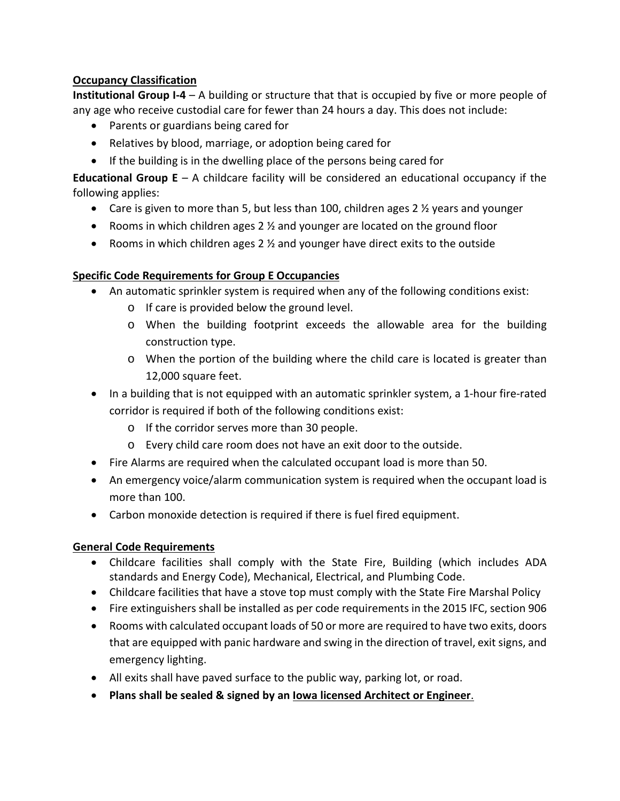## **Occupancy Classification**

**Institutional Group I-4** – A building or structure that that is occupied by five or more people of any age who receive custodial care for fewer than 24 hours a day. This does not include:

- Parents or guardians being cared for
- Relatives by blood, marriage, or adoption being cared for
- If the building is in the dwelling place of the persons being cared for

**Educational Group E** – A childcare facility will be considered an educational occupancy if the following applies:

- Care is given to more than 5, but less than 100, children ages 2  $\frac{1}{2}$  years and younger
- Rooms in which children ages 2  $\frac{1}{2}$  and younger are located on the ground floor
- Rooms in which children ages 2  $\frac{1}{2}$  and younger have direct exits to the outside

# **Specific Code Requirements for Group E Occupancies**

- An automatic sprinkler system is required when any of the following conditions exist:
	- o If care is provided below the ground level.
	- o When the building footprint exceeds the allowable area for the building construction type.
	- o When the portion of the building where the child care is located is greater than 12,000 square feet.
- In a building that is not equipped with an automatic sprinkler system, a 1-hour fire-rated corridor is required if both of the following conditions exist:
	- o If the corridor serves more than 30 people.
	- o Every child care room does not have an exit door to the outside.
- Fire Alarms are required when the calculated occupant load is more than 50.
- An emergency voice/alarm communication system is required when the occupant load is more than 100.
- Carbon monoxide detection is required if there is fuel fired equipment.

# **General Code Requirements**

- Childcare facilities shall comply with the State Fire, Building (which includes ADA standards and Energy Code), Mechanical, Electrical, and Plumbing Code.
- Childcare facilities that have a stove top must comply with the State Fire Marshal Policy
- Fire extinguishers shall be installed as per code requirements in the 2015 IFC, section 906
- Rooms with calculated occupant loads of 50 or more are required to have two exits, doors that are equipped with panic hardware and swing in the direction of travel, exit signs, and emergency lighting.
- All exits shall have paved surface to the public way, parking lot, or road.
- **Plans shall be sealed & signed by an Iowa licensed Architect or Engineer**.